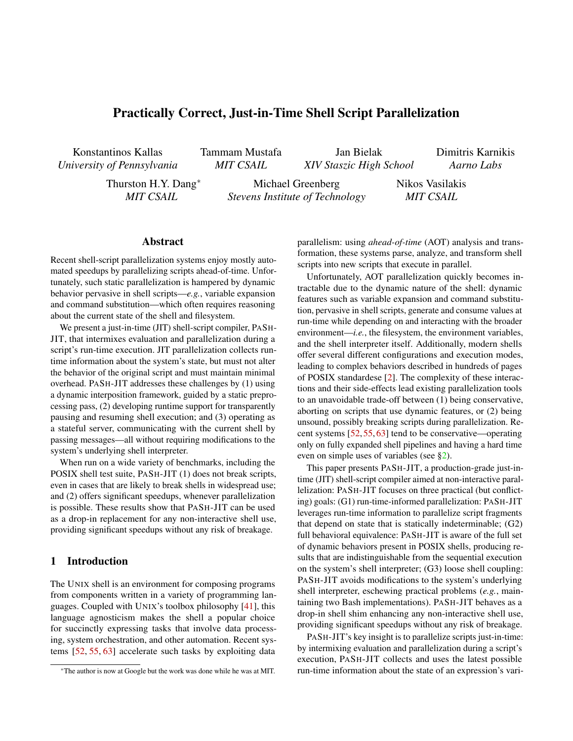# Practically Correct, Just-in-Time Shell Script Parallelization

Konstantinos Kallas *University of Pennsylvania* Tammam Mustafa *MIT CSAIL*

Jan Bielak *XIV Staszic High School* Dimitris Karnikis *Aarno Labs*

Thurston H.Y. Dang<sup>∗</sup> *MIT CSAIL*

Michael Greenberg *Stevens Institute of Technology* Nikos Vasilakis *MIT CSAIL*

#### Abstract

Recent shell-script parallelization systems enjoy mostly automated speedups by parallelizing scripts ahead-of-time. Unfortunately, such static parallelization is hampered by dynamic behavior pervasive in shell scripts—*e.g.*, variable expansion and command substitution—which often requires reasoning about the current state of the shell and filesystem.

We present a just-in-time (JIT) shell-script compiler, PASH-JIT, that intermixes evaluation and parallelization during a script's run-time execution. JIT parallelization collects runtime information about the system's state, but must not alter the behavior of the original script and must maintain minimal overhead. PASH-JIT addresses these challenges by (1) using a dynamic interposition framework, guided by a static preprocessing pass, (2) developing runtime support for transparently pausing and resuming shell execution; and (3) operating as a stateful server, communicating with the current shell by passing messages—all without requiring modifications to the system's underlying shell interpreter.

When run on a wide variety of benchmarks, including the POSIX shell test suite, PASH-JIT (1) does not break scripts, even in cases that are likely to break shells in widespread use; and (2) offers significant speedups, whenever parallelization is possible. These results show that PASH-JIT can be used as a drop-in replacement for any non-interactive shell use, providing significant speedups without any risk of breakage.

# 1 Introduction

The UNIX shell is an environment for composing programs from components written in a variety of programming languages. Coupled with UNIX's toolbox philosophy [41], this language agnosticism makes the shell a popular choice for succinctly expressing tasks that involve data processing, system orchestration, and other automation. Recent systems [52, 55, 63] accelerate such tasks by exploiting data

parallelism: using *ahead-of-time* (AOT) analysis and transformation, these systems parse, analyze, and transform shell scripts into new scripts that execute in parallel.

Unfortunately, AOT parallelization quickly becomes intractable due to the dynamic nature of the shell: dynamic features such as variable expansion and command substitution, pervasive in shell scripts, generate and consume values at run-time while depending on and interacting with the broader environment—*i.e.*, the filesystem, the environment variables, and the shell interpreter itself. Additionally, modern shells offer several different configurations and execution modes, leading to complex behaviors described in hundreds of pages of POSIX standardese [2]. The complexity of these interactions and their side-effects lead existing parallelization tools to an unavoidable trade-off between (1) being conservative, aborting on scripts that use dynamic features, or (2) being unsound, possibly breaking scripts during parallelization. Recent systems [52, 55, 63] tend to be conservative—operating only on fully expanded shell pipelines and having a hard time even on simple uses of variables (see §2).

This paper presents PASH-JIT, a production-grade just-intime (JIT) shell-script compiler aimed at non-interactive parallelization: PASH-JIT focuses on three practical (but conflicting) goals: (G1) run-time-informed parallelization: PASH-JIT leverages run-time information to parallelize script fragments that depend on state that is statically indeterminable; (G2) full behavioral equivalence: PASH-JIT is aware of the full set of dynamic behaviors present in POSIX shells, producing results that are indistinguishable from the sequential execution on the system's shell interpreter; (G3) loose shell coupling: PASH-JIT avoids modifications to the system's underlying shell interpreter, eschewing practical problems (*e.g.*, maintaining two Bash implementations). PASH-JIT behaves as a drop-in shell shim enhancing any non-interactive shell use, providing significant speedups without any risk of breakage.

PASH-JIT's key insight is to parallelize scripts just-in-time: by intermixing evaluation and parallelization during a script's execution, PASH-JIT collects and uses the latest possible run-time information about the state of an expression's vari-

<sup>∗</sup>The author is now at Google but the work was done while he was at MIT.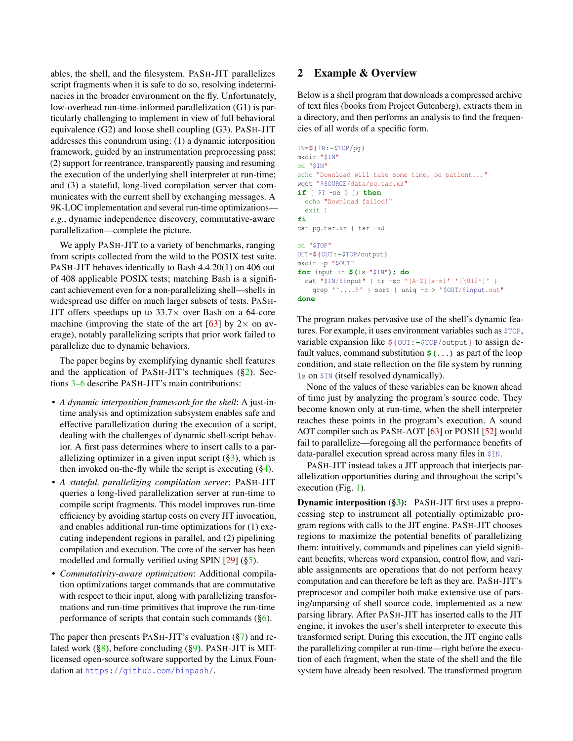ables, the shell, and the filesystem. PASH-JIT parallelizes script fragments when it is safe to do so, resolving indeterminacies in the broader environment on the fly. Unfortunately, low-overhead run-time-informed parallelization (G1) is particularly challenging to implement in view of full behavioral equivalence (G2) and loose shell coupling (G3). PASH-JIT addresses this conundrum using: (1) a dynamic interposition framework, guided by an instrumentation preprocessing pass; (2) support for reentrance, transparently pausing and resuming the execution of the underlying shell interpreter at run-time; and (3) a stateful, long-lived compilation server that communicates with the current shell by exchanging messages. A 9K-LOC implementation and several run-time optimizations *e.g.*, dynamic independence discovery, commutative-aware parallelization—complete the picture.

We apply PASH-JIT to a variety of benchmarks, ranging from scripts collected from the wild to the POSIX test suite. PASH-JIT behaves identically to Bash 4.4.20(1) on 406 out of 408 applicable POSIX tests; matching Bash is a significant achievement even for a non-parallelizing shell—shells in widespread use differ on much larger subsets of tests. PASH-JIT offers speedups up to  $33.7\times$  over Bash on a 64-core machine (improving the state of the art [63] by  $2 \times$  on average), notably parallelizing scripts that prior work failed to parallelize due to dynamic behaviors.

The paper begins by exemplifying dynamic shell features and the application of PASH-JIT's techniques  $(\S_2)$ . Sections 3–6 describe PASH-JIT's main contributions:

- *A dynamic interposition framework for the shell*: A just-intime analysis and optimization subsystem enables safe and effective parallelization during the execution of a script, dealing with the challenges of dynamic shell-script behavior. A first pass determines where to insert calls to a parallelizing optimizer in a given input script  $(\S_3)$ , which is then invoked on-the-fly while the script is executing  $(\S 4)$ .
- *A stateful, parallelizing compilation server*: PASH-JIT queries a long-lived parallelization server at run-time to compile script fragments. This model improves run-time efficiency by avoiding startup costs on every JIT invocation, and enables additional run-time optimizations for (1) executing independent regions in parallel, and (2) pipelining compilation and execution. The core of the server has been modelled and formally verified using SPIN [29] (§5).
- *Commutativity-aware optimization*: Additional compilation optimizations target commands that are commutative with respect to their input, along with parallelizing transformations and run-time primitives that improve the run-time performance of scripts that contain such commands (§6).

The paper then presents PASH-JIT's evaluation (§7) and related work (§8), before concluding (§9). PASH-JIT is MITlicensed open-source software supported by the Linux Foundation at https://github.com/binpash/.

## 2 Example & Overview

Below is a shell program that downloads a compressed archive of text files (books from Project Gutenberg), extracts them in a directory, and then performs an analysis to find the frequencies of all words of a specific form.

```
IN=${IN:-$TOP/pg}
mkdir "$IN"
cd "$IN"
echo "Download will take some time, be patient..."
wget "$SOURCE/data/pg.tar.xz"
if [ $? -ne 0 ]; then
 echo "Download failed!"
 exit 1
fi
cat pg.tar.xz | tar -xJ
cd "$TOP"
OUT=${OUT:-$TOP/output}
mkdir -p "$OUT"
for input in $(ls "$IN"); do
  cat "$IN/$input" | tr -sc '[A-Z][a-z]' '[\012*]' |
   grep '^....$' | sort | uniq -c > "$OUT/$input.out"
done
```
The program makes pervasive use of the shell's dynamic features. For example, it uses environment variables such as \$TOP, variable expansion like **\${**OUT**:-**\$TOP/output**}** to assign default values, command substitution **\$(**...**)** as part of the loop condition, and state reflection on the file system by running ls on \$IN (itself resolved dynamically).

None of the values of these variables can be known ahead of time just by analyzing the program's source code. They become known only at run-time, when the shell interpreter reaches these points in the program's execution. A sound AOT compiler such as PASH-AOT [63] or POSH [52] would fail to parallelize—foregoing all the performance benefits of data-parallel execution spread across many files in \$IN.

PASH-JIT instead takes a JIT approach that interjects parallelization opportunities during and throughout the script's execution (Fig. 1).

Dynamic interposition (§3): PASH-JIT first uses a preprocessing step to instrument all potentially optimizable program regions with calls to the JIT engine. PASH-JIT chooses regions to maximize the potential benefits of parallelizing them: intuitively, commands and pipelines can yield significant benefits, whereas word expansion, control flow, and variable assignments are operations that do not perform heavy computation and can therefore be left as they are. PASH-JIT's preprocesor and compiler both make extensive use of parsing/unparsing of shell source code, implemented as a new parsing library. After PASH-JIT has inserted calls to the JIT engine, it invokes the user's shell interpreter to execute this transformed script. During this execution, the JIT engine calls the parallelizing compiler at run-time—right before the execution of each fragment, when the state of the shell and the file system have already been resolved. The transformed program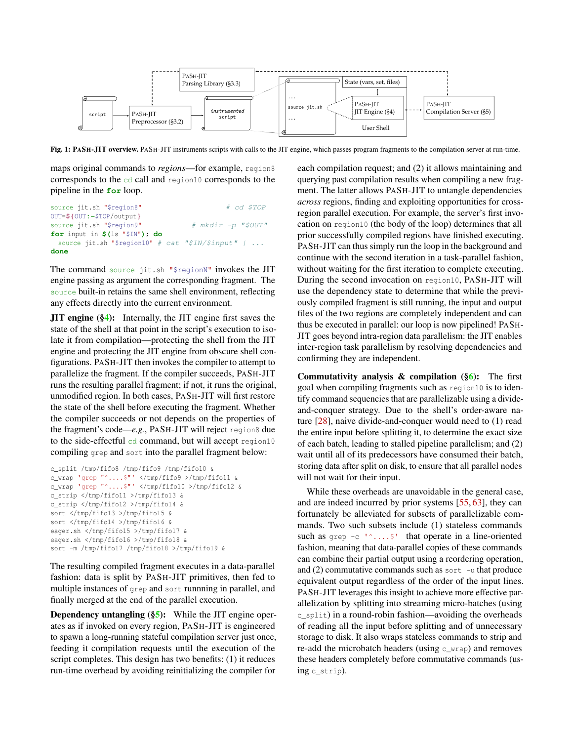

Fig. 1: PASH-JIT overview. PASH-JIT instruments scripts with calls to the JIT engine, which passes program fragments to the compilation server at run-time.

maps original commands to *regions*—for example, region8 corresponds to the cd call and region10 corresponds to the pipeline in the **for** loop.

```
source jit.sh "$region8" # cd $TOP
OUT=${OUT:-$TOP/output}
source jit.sh "$region9" # mkdir -p "$OUT"
for input in $(ls "$IN"); do
 source jit.sh "$region10" # cat "$IN/$input" | ...
done
```
The command source jit.sh "\$regionN" invokes the JIT engine passing as argument the corresponding fragment. The source built-in retains the same shell environment, reflecting any effects directly into the current environment.

**JIT engine (§4):** Internally, the JIT engine first saves the state of the shell at that point in the script's execution to isolate it from compilation—protecting the shell from the JIT engine and protecting the JIT engine from obscure shell configurations. PASH-JIT then invokes the compiler to attempt to parallelize the fragment. If the compiler succeeds, PASH-JIT runs the resulting parallel fragment; if not, it runs the original, unmodified region. In both cases, PASH-JIT will first restore the state of the shell before executing the fragment. Whether the compiler succeeds or not depends on the properties of the fragment's code—*e.g.*, PASH-JIT will reject region8 due to the side-effectful cd command, but will accept region10 compiling grep and sort into the parallel fragment below:

```
c_split /tmp/fifo8 /tmp/fifo9 /tmp/fifo10 &
c_wrap 'grep "^....$"' </tmp/fifo9 >/tmp/fifo11 &
c_wrap 'grep "^....$"' </tmp/fifo10 >/tmp/fifo12 &
c_strip </tmp/fifo11 >/tmp/fifo13 &
c_strip </tmp/fifo12 >/tmp/fifo14 &
sort </tmp/fifo13 >/tmp/fifo15 &
sort </tmp/fifo14 >/tmp/fifo16 &
eager.sh </tmp/fifo15 >/tmp/fifo17 &
eager.sh </tmp/fifo16 >/tmp/fifo18 &
sort -m /tmp/fifo17 /tmp/fifo18 >/tmp/fifo19 &
```
The resulting compiled fragment executes in a data-parallel fashion: data is split by PASH-JIT primitives, then fed to multiple instances of grep and sort runnning in parallel, and finally merged at the end of the parallel execution.

**Dependency untangling**  $(\S 5)$ **:** While the JIT engine operates as if invoked on every region, PASH-JIT is engineered to spawn a long-running stateful compilation server just once, feeding it compilation requests until the execution of the script completes. This design has two benefits: (1) it reduces run-time overhead by avoiding reinitializing the compiler for

each compilation request; and (2) it allows maintaining and querying past compilation results when compiling a new fragment. The latter allows PASH-JIT to untangle dependencies *across* regions, finding and exploiting opportunities for crossregion parallel execution. For example, the server's first invocation on region10 (the body of the loop) determines that all prior successfully compiled regions have finished executing. PASH-JIT can thus simply run the loop in the background and continue with the second iteration in a task-parallel fashion, without waiting for the first iteration to complete executing. During the second invocation on region10, PASH-JIT will use the dependency state to determine that while the previously compiled fragment is still running, the input and output files of the two regions are completely independent and can thus be executed in parallel: our loop is now pipelined! PASH-JIT goes beyond intra-region data parallelism: the JIT enables inter-region task parallelism by resolving dependencies and confirming they are independent.

Commutativity analysis & compilation  $(\S_6)$ : The first goal when compiling fragments such as region10 is to identify command sequencies that are parallelizable using a divideand-conquer strategy. Due to the shell's order-aware nature [28], naive divide-and-conquer would need to (1) read the entire input before splitting it, to determine the exact size of each batch, leading to stalled pipeline parallelism; and (2) wait until all of its predecessors have consumed their batch, storing data after split on disk, to ensure that all parallel nodes will not wait for their input.

While these overheads are unavoidable in the general case, and are indeed incurred by prior systems [55, 63], they can fortunately be alleviated for subsets of parallelizable commands. Two such subsets include (1) stateless commands such as grep  $-c \rightarrow \ldots$ ; that operate in a line-oriented fashion, meaning that data-parallel copies of these commands can combine their partial output using a reordering operation, and  $(2)$  commutative commands such as sort  $-u$  that produce equivalent output regardless of the order of the input lines. PASH-JIT leverages this insight to achieve more effective parallelization by splitting into streaming micro-batches (using c\_split) in a round-robin fashion—avoiding the overheads of reading all the input before splitting and of unnecessary storage to disk. It also wraps stateless commands to strip and re-add the microbatch headers (using c\_wrap) and removes these headers completely before commutative commands (using c\_strip).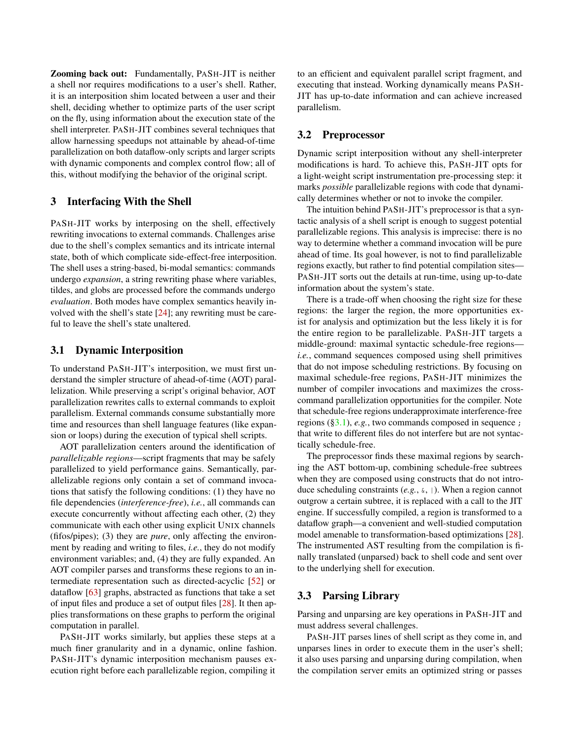Zooming back out: Fundamentally, PASH-JIT is neither a shell nor requires modifications to a user's shell. Rather, it is an interposition shim located between a user and their shell, deciding whether to optimize parts of the user script on the fly, using information about the execution state of the shell interpreter. PASH-JIT combines several techniques that allow harnessing speedups not attainable by ahead-of-time parallelization on both dataflow-only scripts and larger scripts with dynamic components and complex control flow; all of this, without modifying the behavior of the original script.

### 3 Interfacing With the Shell

PASH-JIT works by interposing on the shell, effectively rewriting invocations to external commands. Challenges arise due to the shell's complex semantics and its intricate internal state, both of which complicate side-effect-free interposition. The shell uses a string-based, bi-modal semantics: commands undergo *expansion*, a string rewriting phase where variables, tildes, and globs are processed before the commands undergo *evaluation*. Both modes have complex semantics heavily involved with the shell's state [24]; any rewriting must be careful to leave the shell's state unaltered.

#### 3.1 Dynamic Interposition

To understand PASH-JIT's interposition, we must first understand the simpler structure of ahead-of-time (AOT) parallelization. While preserving a script's original behavior, AOT parallelization rewrites calls to external commands to exploit parallelism. External commands consume substantially more time and resources than shell language features (like expansion or loops) during the execution of typical shell scripts.

AOT parallelization centers around the identification of *parallelizable regions*—script fragments that may be safely parallelized to yield performance gains. Semantically, parallelizable regions only contain a set of command invocations that satisfy the following conditions: (1) they have no file dependencies (*interference-free*), *i.e.*, all commands can execute concurrently without affecting each other, (2) they communicate with each other using explicit UNIX channels (fifos/pipes); (3) they are *pure*, only affecting the environment by reading and writing to files, *i.e.*, they do not modify environment variables; and, (4) they are fully expanded. An AOT compiler parses and transforms these regions to an intermediate representation such as directed-acyclic [52] or dataflow [63] graphs, abstracted as functions that take a set of input files and produce a set of output files [28]. It then applies transformations on these graphs to perform the original computation in parallel.

PASH-JIT works similarly, but applies these steps at a much finer granularity and in a dynamic, online fashion. PASH-JIT's dynamic interposition mechanism pauses execution right before each parallelizable region, compiling it

to an efficient and equivalent parallel script fragment, and executing that instead. Working dynamically means PASH-JIT has up-to-date information and can achieve increased parallelism.

#### 3.2 Preprocessor

Dynamic script interposition without any shell-interpreter modifications is hard. To achieve this, PASH-JIT opts for a light-weight script instrumentation pre-processing step: it marks *possible* parallelizable regions with code that dynamically determines whether or not to invoke the compiler.

The intuition behind PASH-JIT's preprocessor is that a syntactic analysis of a shell script is enough to suggest potential parallelizable regions. This analysis is imprecise: there is no way to determine whether a command invocation will be pure ahead of time. Its goal however, is not to find parallelizable regions exactly, but rather to find potential compilation sites— PASH-JIT sorts out the details at run-time, using up-to-date information about the system's state.

There is a trade-off when choosing the right size for these regions: the larger the region, the more opportunities exist for analysis and optimization but the less likely it is for the entire region to be parallelizable. PASH-JIT targets a middle-ground: maximal syntactic schedule-free regions *i.e.*, command sequences composed using shell primitives that do not impose scheduling restrictions. By focusing on maximal schedule-free regions, PASH-JIT minimizes the number of compiler invocations and maximizes the crosscommand parallelization opportunities for the compiler. Note that schedule-free regions underapproximate interference-free regions (§3.1), *e.g.*, two commands composed in sequence ; that write to different files do not interfere but are not syntactically schedule-free.

The preprocessor finds these maximal regions by searching the AST bottom-up, combining schedule-free subtrees when they are composed using constructs that do not introduce scheduling constraints (*e.g.*, &, |). When a region cannot outgrow a certain subtree, it is replaced with a call to the JIT engine. If successfully compiled, a region is transformed to a dataflow graph—a convenient and well-studied computation model amenable to transformation-based optimizations [28]. The instrumented AST resulting from the compilation is finally translated (unparsed) back to shell code and sent over to the underlying shell for execution.

#### 3.3 Parsing Library

Parsing and unparsing are key operations in PASH-JIT and must address several challenges.

PASH-JIT parses lines of shell script as they come in, and unparses lines in order to execute them in the user's shell; it also uses parsing and unparsing during compilation, when the compilation server emits an optimized string or passes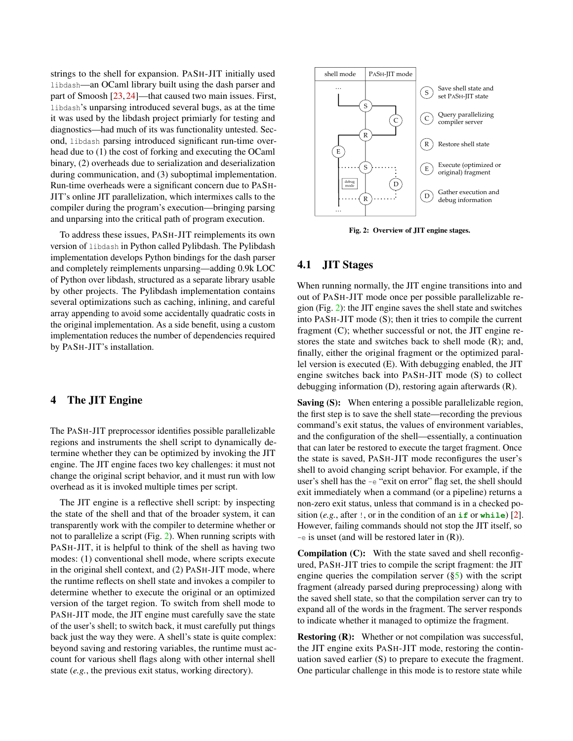strings to the shell for expansion. PASH-JIT initially used libdash—an OCaml library built using the dash parser and part of Smoosh [23, 24]—that caused two main issues. First, libdash's unparsing introduced several bugs, as at the time it was used by the libdash project primiarly for testing and diagnostics—had much of its was functionality untested. Second, libdash parsing introduced significant run-time overhead due to (1) the cost of forking and executing the OCaml binary, (2) overheads due to serialization and deserialization during communication, and (3) suboptimal implementation. Run-time overheads were a significant concern due to PASH-JIT's online JIT parallelization, which intermixes calls to the compiler during the program's execution—bringing parsing and unparsing into the critical path of program execution.

To address these issues, PASH-JIT reimplements its own version of libdash in Python called Pylibdash. The Pylibdash implementation develops Python bindings for the dash parser and completely reimplements unparsing—adding 0.9k LOC of Python over libdash, structured as a separate library usable by other projects. The Pylibdash implementation contains several optimizations such as caching, inlining, and careful array appending to avoid some accidentally quadratic costs in the original implementation. As a side benefit, using a custom implementation reduces the number of dependencies required by PASH-JIT's installation.

# 4 The JIT Engine

The PASH-JIT preprocessor identifies possible parallelizable regions and instruments the shell script to dynamically determine whether they can be optimized by invoking the JIT engine. The JIT engine faces two key challenges: it must not change the original script behavior, and it must run with low overhead as it is invoked multiple times per script.

The JIT engine is a reflective shell script: by inspecting the state of the shell and that of the broader system, it can transparently work with the compiler to determine whether or not to parallelize a script (Fig. 2). When running scripts with PASH-JIT, it is helpful to think of the shell as having two modes: (1) conventional shell mode, where scripts execute in the original shell context, and (2) PASH-JIT mode, where the runtime reflects on shell state and invokes a compiler to determine whether to execute the original or an optimized version of the target region. To switch from shell mode to PASH-JIT mode, the JIT engine must carefully save the state of the user's shell; to switch back, it must carefully put things back just the way they were. A shell's state is quite complex: beyond saving and restoring variables, the runtime must account for various shell flags along with other internal shell state (*e.g.*, the previous exit status, working directory).



Fig. 2: Overview of JIT engine stages.

## 4.1 JIT Stages

When running normally, the JIT engine transitions into and out of PASH-JIT mode once per possible parallelizable region (Fig. 2): the JIT engine saves the shell state and switches into PASH-JIT mode (S); then it tries to compile the current fragment (C); whether successful or not, the JIT engine restores the state and switches back to shell mode (R); and, finally, either the original fragment or the optimized parallel version is executed (E). With debugging enabled, the JIT engine switches back into PASH-JIT mode (S) to collect debugging information (D), restoring again afterwards (R).

Saving (S): When entering a possible parallelizable region, the first step is to save the shell state—recording the previous command's exit status, the values of environment variables, and the configuration of the shell—essentially, a continuation that can later be restored to execute the target fragment. Once the state is saved, PASH-JIT mode reconfigures the user's shell to avoid changing script behavior. For example, if the user's shell has the -e "exit on error" flag set, the shell should exit immediately when a command (or a pipeline) returns a non-zero exit status, unless that command is in a checked position (*e.g.*, after !, or in the condition of an **if** or **while**) [2]. However, failing commands should not stop the JIT itself, so  $-e$  is unset (and will be restored later in  $(R)$ ).

Compilation (C): With the state saved and shell reconfigured, PASH-JIT tries to compile the script fragment: the JIT engine queries the compilation server  $(\S5)$  with the script fragment (already parsed during preprocessing) along with the saved shell state, so that the compilation server can try to expand all of the words in the fragment. The server responds to indicate whether it managed to optimize the fragment.

Restoring (R): Whether or not compilation was successful, the JIT engine exits PASH-JIT mode, restoring the continuation saved earlier (S) to prepare to execute the fragment. One particular challenge in this mode is to restore state while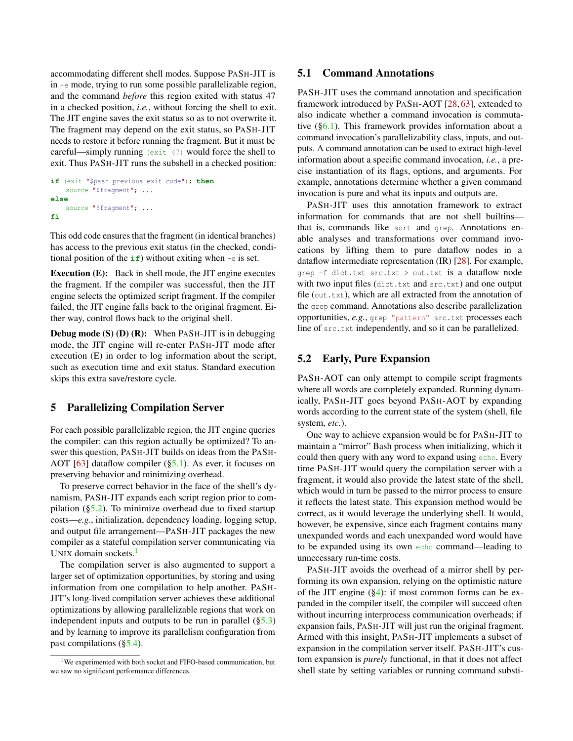accommodating different shell modes. Suppose PASH-JIT is in -e mode, trying to run some possible parallelizable region, and the command *before* this region exited with status 47 in a checked position, *i.e.*, without forcing the shell to exit. The JIT engine saves the exit status so as to not overwrite it. The fragment may depend on the exit status, so PASH-JIT needs to restore it before running the fragment. But it must be careful—simply running (exit 47) would force the shell to exit. Thus PASH-JIT runs the subshell in a checked position:

```
if (exit "$pash_previous_exit_code"); then
   source "$fragment"; ...
else
    source "$fragment"; ...
fi
```
This odd code ensures that the fragment (in identical branches) has access to the previous exit status (in the checked, conditional position of the  $i f$ ) without exiting when  $-e$  is set.

Execution (E): Back in shell mode, the JIT engine executes the fragment. If the compiler was successful, then the JIT engine selects the optimized script fragment. If the compiler failed, the JIT engine falls back to the original fragment. Either way, control flows back to the original shell.

**Debug mode (S) (D) (R):** When PASH-JIT is in debugging mode, the JIT engine will re-enter PASH-JIT mode after execution (E) in order to log information about the script, such as execution time and exit status. Standard execution skips this extra save/restore cycle.

#### 5 Parallelizing Compilation Server

For each possible parallelizable region, the JIT engine queries the compiler: can this region actually be optimized? To answer this question, PASH-JIT builds on ideas from the PASH-AOT  $[63]$  dataflow compiler  $(\S5.1)$ . As ever, it focuses on preserving behavior and minimizing overhead.

To preserve correct behavior in the face of the shell's dynamism, PASH-JIT expands each script region prior to compilation  $(\S$ 5.2). To minimize overhead due to fixed startup costs—*e.g.*, initialization, dependency loading, logging setup, and output file arrangement—PASH-JIT packages the new compiler as a stateful compilation server communicating via UNIX domain sockets. $<sup>1</sup>$ </sup>

The compilation server is also augmented to support a larger set of optimization opportunities, by storing and using information from one compilation to help another. PASH-JIT's long-lived compilation server achieves these additional optimizations by allowing parallelizable regions that work on independent inputs and outputs to be run in parallel  $(\S 5.3)$ and by learning to improve its parallelism configuration from past compilations (§5.4).

## 5.1 Command Annotations

PASH-JIT uses the command annotation and specification framework introduced by PASH-AOT [28, 63], extended to also indicate whether a command invocation is commutative  $(\S6.1)$ . This framework provides information about a command invocation's parallelizability class, inputs, and outputs. A command annotation can be used to extract high-level information about a specific command invocation, *i.e.*, a precise instantiation of its flags, options, and arguments. For example, annotations determine whether a given command invocation is pure and what its inputs and outputs are.

PASH-JIT uses this annotation framework to extract information for commands that are not shell builtins that is, commands like sort and grep. Annotations enable analyses and transformations over command invocations by lifting them to pure dataflow nodes in a dataflow intermediate representation (IR) [28]. For example, grep -f dict.txt src.txt > out.txt is a dataflow node with two input files (dict.txt and src.txt) and one output file (out.txt), which are all extracted from the annotation of the grep command. Annotations also describe parallelization opportunities, *e.g.*, grep "pattern" src.txt processes each line of src.txt independently, and so it can be parallelized.

#### 5.2 Early, Pure Expansion

PASH-AOT can only attempt to compile script fragments where all words are completely expanded. Running dynamically, PASH-JIT goes beyond PASH-AOT by expanding words according to the current state of the system (shell, file system, *etc.*).

One way to achieve expansion would be for PASH-JIT to maintain a "mirror" Bash process when initializing, which it could then query with any word to expand using echo. Every time PASH-JIT would query the compilation server with a fragment, it would also provide the latest state of the shell, which would in turn be passed to the mirror process to ensure it reflects the latest state. This expansion method would be correct, as it would leverage the underlying shell. It would, however, be expensive, since each fragment contains many unexpanded words and each unexpanded word would have to be expanded using its own echo command—leading to unnecessary run-time costs.

PASH-JIT avoids the overhead of a mirror shell by performing its own expansion, relying on the optimistic nature of the JIT engine  $(\frac{8}{4})$ : if most common forms can be expanded in the compiler itself, the compiler will succeed often without incurring interprocess communication overheads; if expansion fails, PASH-JIT will just run the original fragment. Armed with this insight, PASH-JIT implements a subset of expansion in the compilation server itself. PASH-JIT's custom expansion is *purely* functional, in that it does not affect shell state by setting variables or running command substi-

 $1$ We experimented with both socket and FIFO-based communication, but we saw no significant performance differences.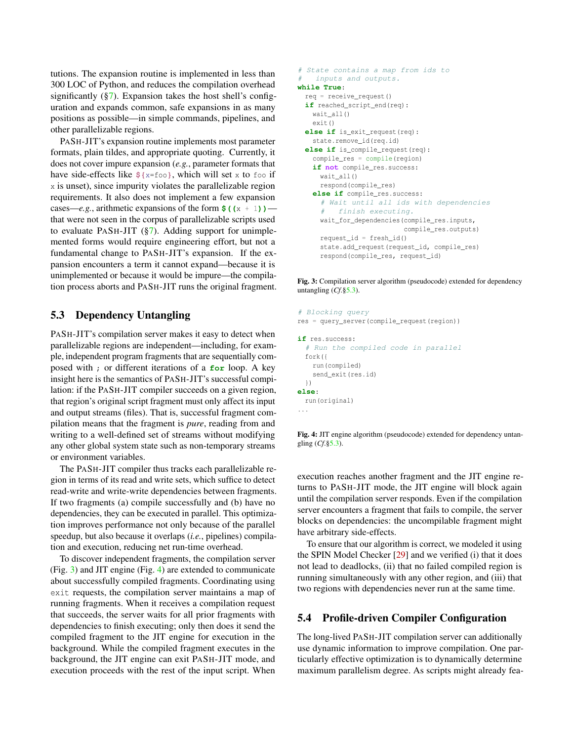tutions. The expansion routine is implemented in less than 300 LOC of Python, and reduces the compilation overhead significantly  $(\frac{87}{12})$ . Expansion takes the host shell's configuration and expands common, safe expansions in as many positions as possible—in simple commands, pipelines, and other parallelizable regions.

PASH-JIT's expansion routine implements most parameter formats, plain tildes, and appropriate quoting. Currently, it does not cover impure expansion (*e.g.*, parameter formats that have side-effects like **\${**x=foo**}**, which will set x to foo if x is unset), since impurity violates the parallelizable region requirements. It also does not implement a few expansion cases—*e.g.*, arithmetic expansions of the form  $\frac{\xi(x + 1)}{\xi(x + 1)}$ that were not seen in the corpus of parallelizable scripts used to evaluate PASH-JIT (§7). Adding support for unimplemented forms would require engineering effort, but not a fundamental change to PASH-JIT's expansion. If the expansion encounters a term it cannot expand—because it is unimplemented or because it would be impure—the compilation process aborts and PASH-JIT runs the original fragment.

## 5.3 Dependency Untangling

PASH-JIT's compilation server makes it easy to detect when parallelizable regions are independent—including, for example, independent program fragments that are sequentially composed with ; or different iterations of a **for** loop. A key insight here is the semantics of PASH-JIT's successful compilation: if the PASH-JIT compiler succeeds on a given region, that region's original script fragment must only affect its input and output streams (files). That is, successful fragment compilation means that the fragment is *pure*, reading from and writing to a well-defined set of streams without modifying any other global system state such as non-temporary streams or environment variables.

The PASH-JIT compiler thus tracks each parallelizable region in terms of its read and write sets, which suffice to detect read-write and write-write dependencies between fragments. If two fragments (a) compile successfully and (b) have no dependencies, they can be executed in parallel. This optimization improves performance not only because of the parallel speedup, but also because it overlaps (*i.e.*, pipelines) compilation and execution, reducing net run-time overhead.

To discover independent fragments, the compilation server (Fig. 3) and JIT engine (Fig. 4) are extended to communicate about successfully compiled fragments. Coordinating using exit requests, the compilation server maintains a map of running fragments. When it receives a compilation request that succeeds, the server waits for all prior fragments with dependencies to finish executing; only then does it send the compiled fragment to the JIT engine for execution in the background. While the compiled fragment executes in the background, the JIT engine can exit PASH-JIT mode, and execution proceeds with the rest of the input script. When

```
# State contains a map from ids to
# inputs and outputs.
while True:
 req = receive_request()
  if reached_script_end(req):
   wait_all()
   exit()
  else if is_exit_request(req):
   state.remove_id(req.id)
  else if is_compile_request(req):
    compile_res = compile(region)
    if not compile_res.success:
     wait all()
     respond(compile_res)
   else if compile_res.success:
      # Wait until all ids with dependencies
      # finish executing.
     wait for dependencies (compile res.inputs,
                           compile_res.outputs)
      request_id = fresh_id()
      state.add_request(request_id, compile_res)
      respond(compile_res, request_id)
```
Fig. 3: Compilation server algorithm (pseudocode) extended for dependency untangling (*Cf*.§5.3).

```
# Blocking query
res = query_server(compile_request(region))
if res.success:
  # Run the compiled code in parallel
  fork({
    run(compiled)
   send_exit(res.id)
 })
else:
 run(original)
...
```
Fig. 4: JIT engine algorithm (pseudocode) extended for dependency untangling (*Cf*.§5.3).

execution reaches another fragment and the JIT engine returns to PASH-JIT mode, the JIT engine will block again until the compilation server responds. Even if the compilation server encounters a fragment that fails to compile, the server blocks on dependencies: the uncompilable fragment might have arbitrary side-effects.

To ensure that our algorithm is correct, we modeled it using the SPIN Model Checker [29] and we verified (i) that it does not lead to deadlocks, (ii) that no failed compiled region is running simultaneously with any other region, and (iii) that two regions with dependencies never run at the same time.

# 5.4 Profile-driven Compiler Configuration

The long-lived PASH-JIT compilation server can additionally use dynamic information to improve compilation. One particularly effective optimization is to dynamically determine maximum parallelism degree. As scripts might already fea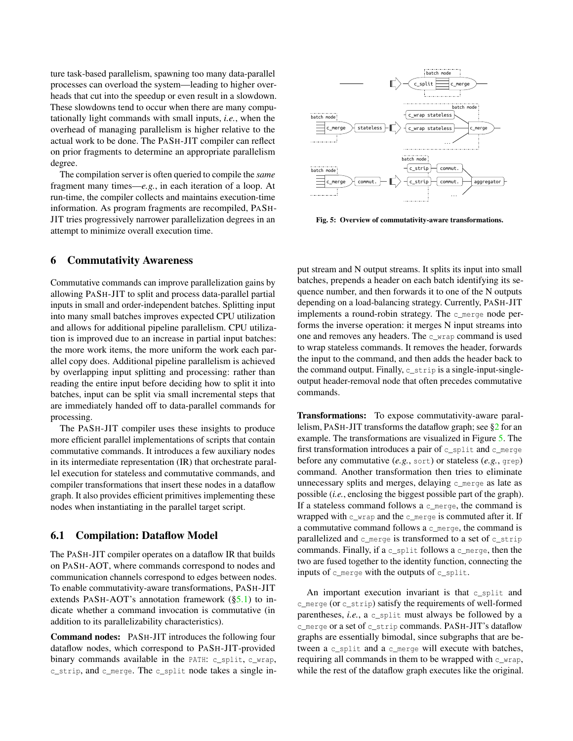ture task-based parallelism, spawning too many data-parallel processes can overload the system—leading to higher overheads that cut into the speedup or even result in a slowdown. These slowdowns tend to occur when there are many computationally light commands with small inputs, *i.e.*, when the overhead of managing parallelism is higher relative to the actual work to be done. The PASH-JIT compiler can reflect on prior fragments to determine an appropriate parallelism degree.

The compilation server is often queried to compile the *same* fragment many times—*e.g.*, in each iteration of a loop. At run-time, the compiler collects and maintains execution-time information. As program fragments are recompiled, PASH-JIT tries progressively narrower parallelization degrees in an attempt to minimize overall execution time.

#### 6 Commutativity Awareness

Commutative commands can improve parallelization gains by allowing PASH-JIT to split and process data-parallel partial inputs in small and order-independent batches. Splitting input into many small batches improves expected CPU utilization and allows for additional pipeline parallelism. CPU utilization is improved due to an increase in partial input batches: the more work items, the more uniform the work each parallel copy does. Additional pipeline parallelism is achieved by overlapping input splitting and processing: rather than reading the entire input before deciding how to split it into batches, input can be split via small incremental steps that are immediately handed off to data-parallel commands for processing.

The PASH-JIT compiler uses these insights to produce more efficient parallel implementations of scripts that contain commutative commands. It introduces a few auxiliary nodes in its intermediate representation (IR) that orchestrate parallel execution for stateless and commutative commands, and compiler transformations that insert these nodes in a dataflow graph. It also provides efficient primitives implementing these nodes when instantiating in the parallel target script.

#### 6.1 Compilation: Dataflow Model

The PASH-JIT compiler operates on a dataflow IR that builds on PASH-AOT, where commands correspond to nodes and communication channels correspond to edges between nodes. To enable commutativity-aware transformations, PASH-JIT extends PASH-AOT's annotation framework  $(\S_5.1)$  to indicate whether a command invocation is commutative (in addition to its parallelizability characteristics).

Command nodes: PASH-JIT introduces the following four dataflow nodes, which correspond to PASH-JIT-provided binary commands available in the PATH: c\_split, c\_wrap, c\_strip, and c\_merge. The c\_split node takes a single in-



Fig. 5: Overview of commutativity-aware transformations.

put stream and N output streams. It splits its input into small batches, prepends a header on each batch identifying its sequence number, and then forwards it to one of the N outputs depending on a load-balancing strategy. Currently, PASH-JIT implements a round-robin strategy. The c\_merge node performs the inverse operation: it merges N input streams into one and removes any headers. The c\_wrap command is used to wrap stateless commands. It removes the header, forwards the input to the command, and then adds the header back to the command output. Finally,  $c$ \_strip is a single-input-singleoutput header-removal node that often precedes commutative commands.

Transformations: To expose commutativity-aware parallelism, PASH-JIT transforms the dataflow graph; see §2 for an example. The transformations are visualized in Figure 5. The first transformation introduces a pair of c\_split and c\_merge before any commutative (*e.g.*, sort) or stateless (*e.g.*, grep) command. Another transformation then tries to eliminate unnecessary splits and merges, delaying c\_merge as late as possible (*i.e.*, enclosing the biggest possible part of the graph). If a stateless command follows a c\_merge, the command is wrapped with c\_wrap and the c\_merge is commuted after it. If a commutative command follows a c\_merge, the command is parallelized and c\_merge is transformed to a set of c\_strip commands. Finally, if a c\_split follows a c\_merge, then the two are fused together to the identity function, connecting the inputs of c\_merge with the outputs of c\_split.

An important execution invariant is that c\_split and c\_merge (or c\_strip) satisfy the requirements of well-formed parentheses, *i.e.*, a c split must always be followed by a c\_merge or a set of c\_strip commands. PASH-JIT's dataflow graphs are essentially bimodal, since subgraphs that are between a c\_split and a c\_merge will execute with batches, requiring all commands in them to be wrapped with c\_wrap, while the rest of the dataflow graph executes like the original.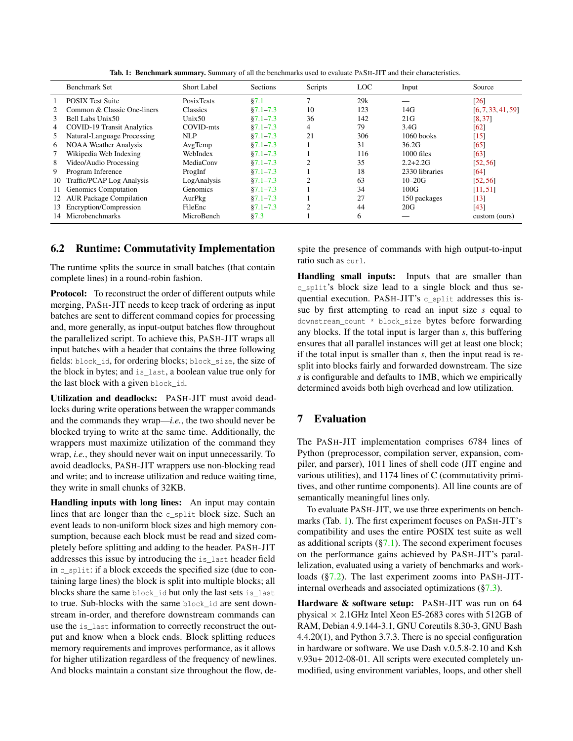|    | Benchmark Set                     | <b>Short Label</b> | Sections     | Scripts                     | LOC | Input          | Source             |
|----|-----------------------------------|--------------------|--------------|-----------------------------|-----|----------------|--------------------|
|    | <b>POSIX Test Suite</b>           | <b>Posix Tests</b> | §7.1         |                             | 29k |                | [26]               |
|    | Common & Classic One-liners       | <b>Classics</b>    | $§7.1 - 7.3$ | 10                          | 123 | 14G            | [6, 7, 33, 41, 59] |
| 3  | Bell Labs Unix50                  | Unix50             | $$7.1 - 7.3$ | 36                          | 142 | 21G            | [8.37]             |
| 4  | <b>COVID-19 Transit Analytics</b> | COVID-mts          | $§7.1 - 7.3$ | 4                           | 79  | 3.4G           | [62]               |
| 5  | Natural-Language Processing       | <b>NLP</b>         | $§7.1 - 7.3$ | 21                          | 306 | $1060$ books   | [15]               |
| 6  | <b>NOAA Weather Analysis</b>      | AvgTemp            | $$7.1 - 7.3$ |                             | 31  | 36.2G          | [65]               |
|    | Wikipedia Web Indexing            | WebIndex           | $$7.1 - 7.3$ |                             | 116 | $1000$ files   | [63]               |
| 8  | Video/Audio Processing            | MediaConv          | $§7.1 - 7.3$ |                             | 35  | $2.2 + 2.2G$   | [52, 56]           |
| 9  | Program Inference                 | ProgInf            | $$7.1 - 7.3$ |                             | 18  | 2330 libraries | [64]               |
| 10 | Traffic/PCAP Log Analysis         | LogAnalysis        | $$7.1 - 7.3$ | $\mathcal{D}_{\mathcal{L}}$ | 63  | $10 - 20G$     | [52, 56]           |
| 11 | Genomics Computation              | Genomics           | $$7.1 - 7.3$ |                             | 34  | 100G           | [11, 51]           |
| 12 | <b>AUR Package Compilation</b>    | AurPkg             | $$7.1 - 7.3$ |                             | 27  | 150 packages   | $\lceil 13 \rceil$ |
| 13 | Encryption/Compression            | FileEnc            | $§7.1 - 7.3$ | $\mathcal{D}_{\mathcal{L}}$ | 44  | 20G            | [43]               |
| 14 | Microbenchmarks                   | MicroBench         | §7.3         |                             | 6   |                | custom (ours)      |

Tab. 1: Benchmark summary. Summary of all the benchmarks used to evaluate PASH-JIT and their characteristics.

## 6.2 Runtime: Commutativity Implementation

The runtime splits the source in small batches (that contain complete lines) in a round-robin fashion.

**Protocol:** To reconstruct the order of different outputs while merging, PASH-JIT needs to keep track of ordering as input batches are sent to different command copies for processing and, more generally, as input-output batches flow throughout the parallelized script. To achieve this, PASH-JIT wraps all input batches with a header that contains the three following fields: block\_id, for ordering blocks; block\_size, the size of the block in bytes; and is\_last, a boolean value true only for the last block with a given block\_id.

Utilization and deadlocks: PASH-JIT must avoid deadlocks during write operations between the wrapper commands and the commands they wrap—*i.e.*, the two should never be blocked trying to write at the same time. Additionally, the wrappers must maximize utilization of the command they wrap, *i.e.*, they should never wait on input unnecessarily. To avoid deadlocks, PASH-JIT wrappers use non-blocking read and write; and to increase utilization and reduce waiting time, they write in small chunks of 32KB.

Handling inputs with long lines: An input may contain lines that are longer than the c\_split block size. Such an event leads to non-uniform block sizes and high memory consumption, because each block must be read and sized completely before splitting and adding to the header. PASH-JIT addresses this issue by introducing the is\_last header field in c\_split: if a block exceeds the specified size (due to containing large lines) the block is split into multiple blocks; all blocks share the same block\_id but only the last sets is\_last to true. Sub-blocks with the same block\_id are sent downstream in-order, and therefore downstream commands can use the is\_last information to correctly reconstruct the output and know when a block ends. Block splitting reduces memory requirements and improves performance, as it allows for higher utilization regardless of the frequency of newlines. And blocks maintain a constant size throughout the flow, de-

spite the presence of commands with high output-to-input ratio such as curl.

Handling small inputs: Inputs that are smaller than c\_split's block size lead to a single block and thus sequential execution. PASH-JIT's c\_split addresses this issue by first attempting to read an input size *s* equal to downstream\_count \* block\_size bytes before forwarding any blocks. If the total input is larger than *s*, this buffering ensures that all parallel instances will get at least one block; if the total input is smaller than *s*, then the input read is resplit into blocks fairly and forwarded downstream. The size *s* is configurable and defaults to 1MB, which we empirically determined avoids both high overhead and low utilization.

## 7 Evaluation

The PASH-JIT implementation comprises 6784 lines of Python (preprocessor, compilation server, expansion, compiler, and parser), 1011 lines of shell code (JIT engine and various utilities), and 1174 lines of C (commutativity primitives, and other runtime components). All line counts are of semantically meaningful lines only.

To evaluate PASH-JIT, we use three experiments on benchmarks (Tab. 1). The first experiment focuses on PASH-JIT's compatibility and uses the entire POSIX test suite as well as additional scripts  $(\frac{87.1}{7})$ . The second experiment focuses on the performance gains achieved by PASH-JIT's parallelization, evaluated using a variety of benchmarks and workloads (§7.2). The last experiment zooms into PASH-JITinternal overheads and associated optimizations (§7.3).

Hardware & software setup: PASH-JIT was run on 64 physical  $\times$  2.1GHz Intel Xeon E5-2683 cores with 512GB of RAM, Debian 4.9.144-3.1, GNU Coreutils 8.30-3, GNU Bash 4.4.20(1), and Python 3.7.3. There is no special configuration in hardware or software. We use Dash v.0.5.8-2.10 and Ksh v.93u+ 2012-08-01. All scripts were executed completely unmodified, using environment variables, loops, and other shell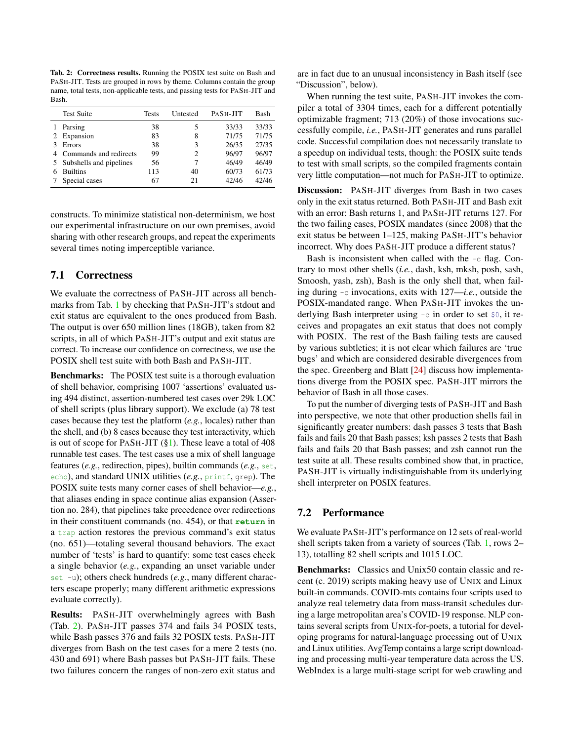Tab. 2: Correctness results. Running the POSIX test suite on Bash and PASH-JIT. Tests are grouped in rows by theme. Columns contain the group name, total tests, non-applicable tests, and passing tests for PASH-JIT and Bash.

|   | <b>Test Suite</b>         | <b>Tests</b> | Untested | PASH-JIT | Bash  |
|---|---------------------------|--------------|----------|----------|-------|
|   | Parsing                   | 38           | 5        | 33/33    | 33/33 |
| 2 | Expansion                 | 83           | 8        | 71/75    | 71/75 |
|   | <b>Errors</b>             | 38           | 3        | 26/35    | 27/35 |
| 4 | Commands and redirects    | 99           | 2        | 96/97    | 96/97 |
|   | 5 Subshells and pipelines | 56           |          | 46/49    | 46/49 |
| 6 | <b>Builtins</b>           | 113          | 40       | 60/73    | 61/73 |
|   | Special cases             | 67           | 21       | 42/46    | 42/46 |

constructs. To minimize statistical non-determinism, we host our experimental infrastructure on our own premises, avoid sharing with other research groups, and repeat the experiments several times noting imperceptible variance.

## 7.1 Correctness

We evaluate the correctness of PASH-JIT across all benchmarks from Tab. 1 by checking that PASH-JIT's stdout and exit status are equivalent to the ones produced from Bash. The output is over 650 million lines (18GB), taken from 82 scripts, in all of which PASH-JIT's output and exit status are correct. To increase our confidence on correctness, we use the POSIX shell test suite with both Bash and PASH-JIT.

Benchmarks: The POSIX test suite is a thorough evaluation of shell behavior, comprising 1007 'assertions' evaluated using 494 distinct, assertion-numbered test cases over 29k LOC of shell scripts (plus library support). We exclude (a) 78 test cases because they test the platform (*e.g.*, locales) rather than the shell, and (b) 8 cases because they test interactivity, which is out of scope for PASH-JIT  $(\S1)$ . These leave a total of 408 runnable test cases. The test cases use a mix of shell language features (*e.g.*, redirection, pipes), builtin commands (*e.g.*, set, echo), and standard UNIX utilities (e.g., printf, grep). The POSIX suite tests many corner cases of shell behavior—*e.g.*, that aliases ending in space continue alias expansion (Assertion no. 284), that pipelines take precedence over redirections in their constituent commands (no. 454), or that **return** in a trap action restores the previous command's exit status (no. 651)—totaling several thousand behaviors. The exact number of 'tests' is hard to quantify: some test cases check a single behavior (*e.g.*, expanding an unset variable under set -u); others check hundreds (*e.g.*, many different characters escape properly; many different arithmetic expressions evaluate correctly).

Results: PASH-JIT overwhelmingly agrees with Bash (Tab. 2). PASH-JIT passes 374 and fails 34 POSIX tests, while Bash passes 376 and fails 32 POSIX tests. PASH-JIT diverges from Bash on the test cases for a mere 2 tests (no. 430 and 691) where Bash passes but PASH-JIT fails. These two failures concern the ranges of non-zero exit status and

are in fact due to an unusual inconsistency in Bash itself (see "Discussion", below).

When running the test suite, PASH-JIT invokes the compiler a total of 3304 times, each for a different potentially optimizable fragment; 713 (20%) of those invocations successfully compile, *i.e.*, PASH-JIT generates and runs parallel code. Successful compilation does not necessarily translate to a speedup on individual tests, though: the POSIX suite tends to test with small scripts, so the compiled fragments contain very little computation—not much for PASH-JIT to optimize.

Discussion: PASH-JIT diverges from Bash in two cases only in the exit status returned. Both PASH-JIT and Bash exit with an error: Bash returns 1, and PASH-JIT returns 127. For the two failing cases, POSIX mandates (since 2008) that the exit status be between 1–125, making PASH-JIT's behavior incorrect. Why does PASH-JIT produce a different status?

Bash is inconsistent when called with the -c flag. Contrary to most other shells (*i.e.*, dash, ksh, mksh, posh, sash, Smoosh, yash, zsh), Bash is the only shell that, when failing during -c invocations, exits with 127—*i.e.*, outside the POSIX-mandated range. When PASH-JIT invokes the underlying Bash interpreter using -c in order to set \$0, it receives and propagates an exit status that does not comply with POSIX. The rest of the Bash failing tests are caused by various subtleties; it is not clear which failures are 'true bugs' and which are considered desirable divergences from the spec. Greenberg and Blatt [24] discuss how implementations diverge from the POSIX spec. PASH-JIT mirrors the behavior of Bash in all those cases.

To put the number of diverging tests of PASH-JIT and Bash into perspective, we note that other production shells fail in significantly greater numbers: dash passes 3 tests that Bash fails and fails 20 that Bash passes; ksh passes 2 tests that Bash fails and fails 20 that Bash passes; and zsh cannot run the test suite at all. These results combined show that, in practice, PASH-JIT is virtually indistinguishable from its underlying shell interpreter on POSIX features.

## 7.2 Performance

We evaluate PASH-JIT's performance on 12 sets of real-world shell scripts taken from a variety of sources (Tab. 1, rows 2– 13), totalling 82 shell scripts and 1015 LOC.

Benchmarks: Classics and Unix50 contain classic and recent (c. 2019) scripts making heavy use of UNIX and Linux built-in commands. COVID-mts contains four scripts used to analyze real telemetry data from mass-transit schedules during a large metropolitan area's COVID-19 response. NLP contains several scripts from UNIX-for-poets, a tutorial for developing programs for natural-language processing out of UNIX and Linux utilities. AvgTemp contains a large script downloading and processing multi-year temperature data across the US. WebIndex is a large multi-stage script for web crawling and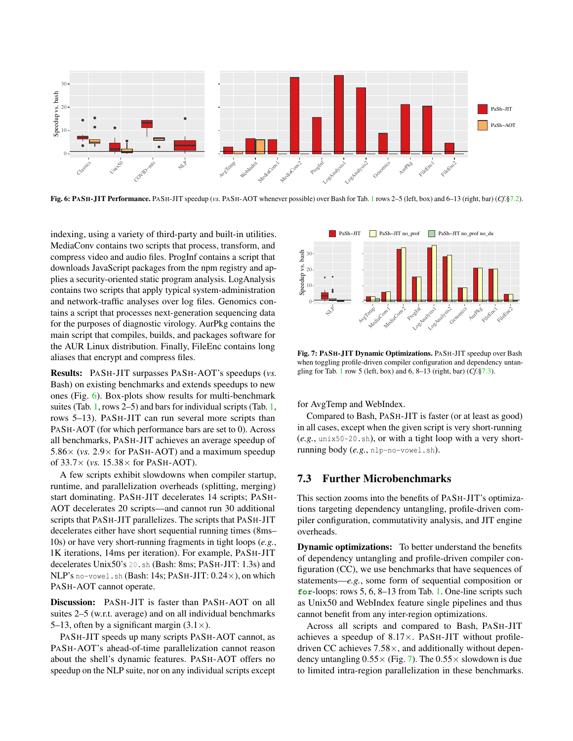

Fig. 6: PASH-JIT Performance. PASH-JIT speedup (*vs.* PASH-AOT whenever possible) over Bash for Tab. 1 rows 2–5 (left, box) and 6–13 (right, bar) (*Cf*.§7.2).

indexing, using a variety of third-party and built-in utilities. MediaConv contains two scripts that process, transform, and compress video and audio files. ProgInf contains a script that downloads JavaScript packages from the npm registry and applies a security-oriented static program analysis. LogAnalysis contains two scripts that apply typical system-administration and network-traffic analyses over log files. Genomics contains a script that processes next-generation sequencing data for the purposes of diagnostic virology. AurPkg contains the main script that compiles, builds, and packages software for the AUR Linux distribution. Finally, FileEnc contains long aliases that encrypt and compress files.

Results: PASH-JIT surpasses PASH-AOT's speedups (*vs.* Bash) on existing benchmarks and extends speedups to new ones (Fig. 6). Box-plots show results for multi-benchmark suites (Tab. 1, rows 2–5) and bars for individual scripts (Tab. 1, rows 5–13). PASH-JIT can run several more scripts than PASH-AOT (for which performance bars are set to 0). Across all benchmarks, PASH-JIT achieves an average speedup of  $5.86 \times$  (*vs.* 2.9 $\times$  for PASH-AOT) and a maximum speedup of 33.7× (*vs.* 15.38× for PASH-AOT).

A few scripts exhibit slowdowns when compiler startup, runtime, and parallelization overheads (splitting, merging) start dominating. PASH-JIT decelerates 14 scripts; PASH-AOT decelerates 20 scripts—and cannot run 30 additional scripts that PASH-JIT parallelizes. The scripts that PASH-JIT decelerates either have short sequential running times (8ms– 10s) or have very short-running fragments in tight loops (*e.g.*, 1K iterations, 14ms per iteration). For example, PASH-JIT decelerates Unix50's 20.sh (Bash: 8ms; PASH-JIT: 1.3s) and NLP's no-vowel.sh (Bash: 14s; PASH-JIT: 0.24×), on which PASH-AOT cannot operate.

Discussion: PASH-JIT is faster than PASH-AOT on all suites 2–5 (w.r.t. average) and on all individual benchmarks 5–13, often by a significant margin  $(3.1\times)$ .

PASH-JIT speeds up many scripts PASH-AOT cannot, as PASH-AOT's ahead-of-time parallelization cannot reason about the shell's dynamic features. PASH-AOT offers no speedup on the NLP suite, nor on any individual scripts except



Fig. 7: PASH-JIT Dynamic Optimizations. PASH-JIT speedup over Bash when toggling profile-driven compiler configuration and dependency untangling for Tab. 1 row 5 (left, box) and 6, 8–13 (right, bar) (*Cf*.§7.3).

for AvgTemp and WebIndex.

Compared to Bash, PASH-JIT is faster (or at least as good) in all cases, except when the given script is very short-running (*e.g.*, unix50-20.sh), or with a tight loop with a very shortrunning body (*e.g.*, nlp-no-vowel.sh).

# 7.3 Further Microbenchmarks

This section zooms into the benefits of PASH-JIT's optimizations targeting dependency untangling, profile-driven compiler configuration, commutativity analysis, and JIT engine overheads.

Dynamic optimizations: To better understand the benefits of dependency untangling and profile-driven compiler configuration (CC), we use benchmarks that have sequences of statements—*e.g.*, some form of sequential composition or **for**-loops: rows 5, 6, 8–13 from Tab. 1. One-line scripts such as Unix50 and WebIndex feature single pipelines and thus cannot benefit from any inter-region optimizations.

Across all scripts and compared to Bash, PASH-JIT achieves a speedup of  $8.17\times$ . PASH-JIT without profiledriven CC achieves  $7.58\times$ , and additionally without dependency untangling  $0.55 \times$  (Fig. 7). The  $0.55 \times$  slowdown is due to limited intra-region parallelization in these benchmarks.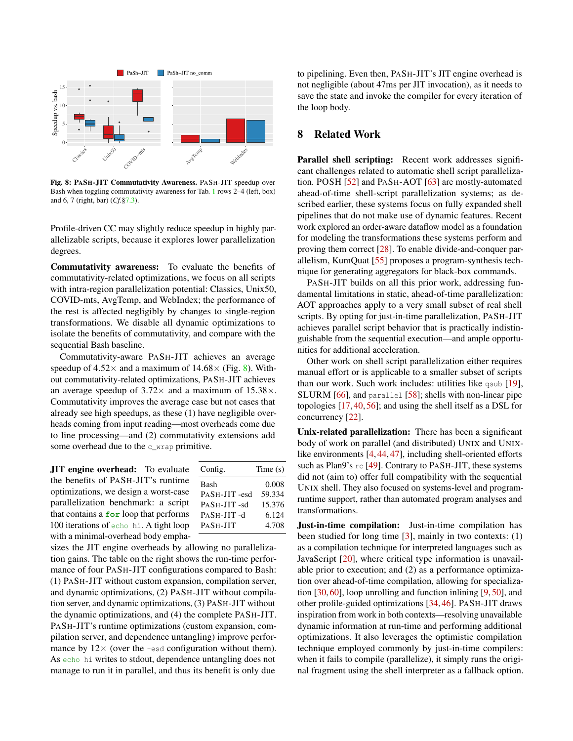

Fig. 8: PASH-JIT Commutativity Awareness. PASH-JIT speedup over Bash when toggling commutativity awareness for Tab. 1 rows 2–4 (left, box) and 6, 7 (right, bar) (*Cf*.§7.3).

Profile-driven CC may slightly reduce speedup in highly parallelizable scripts, because it explores lower parallelization degrees.

Commutativity awareness: To evaluate the benefits of commutativity-related optimizations, we focus on all scripts with intra-region parallelization potential: Classics, Unix50, COVID-mts, AvgTemp, and WebIndex; the performance of the rest is affected negligibly by changes to single-region transformations. We disable all dynamic optimizations to isolate the benefits of commutativity, and compare with the sequential Bash baseline.

Commutativity-aware PASH-JIT achieves an average speedup of  $4.52 \times$  and a maximum of  $14.68 \times$  (Fig. 8). Without commutativity-related optimizations, PASH-JIT achieves an average speedup of  $3.72\times$  and a maximum of  $15.38\times$ . Commutativity improves the average case but not cases that already see high speedups, as these (1) have negligible overheads coming from input reading—most overheads come due to line processing—and (2) commutativity extensions add some overhead due to the c\_wrap primitive.

JIT engine overhead: To evaluate the benefits of PASH-JIT's runtime optimizations, we design a worst-case parallelization benchmark: a script that contains a **for** loop that performs 100 iterations of echo hi. A tight loop with a minimal-overhead body empha-

| Config.      | Time(s) |
|--------------|---------|
| Bash         | 0.008   |
| PASH-JIT-esd | 59.334  |
| PASH-JIT-sd  | 15.376  |
| PASH-JIT-d   | 6.124   |
| PASH-JIT     | 4.708   |
|              |         |

sizes the JIT engine overheads by allowing no parallelization gains. The table on the right shows the run-time performance of four PASH-JIT configurations compared to Bash: (1) PASH-JIT without custom expansion, compilation server, and dynamic optimizations, (2) PASH-JIT without compilation server, and dynamic optimizations, (3) PASH-JIT without the dynamic optimizations, and (4) the complete PASH-JIT. PASH-JIT's runtime optimizations (custom expansion, compilation server, and dependence untangling) improve performance by  $12 \times$  (over the -esd configuration without them). As echo hi writes to stdout, dependence untangling does not manage to run it in parallel, and thus its benefit is only due

to pipelining. Even then, PASH-JIT's JIT engine overhead is not negligible (about 47ms per JIT invocation), as it needs to save the state and invoke the compiler for every iteration of the loop body.

# 8 Related Work

Parallel shell scripting: Recent work addresses significant challenges related to automatic shell script parallelization. POSH [52] and PASH-AOT [63] are mostly-automated ahead-of-time shell-script parallelization systems; as described earlier, these systems focus on fully expanded shell pipelines that do not make use of dynamic features. Recent work explored an order-aware dataflow model as a foundation for modeling the transformations these systems perform and proving them correct [28]. To enable divide-and-conquer parallelism, KumQuat [55] proposes a program-synthesis technique for generating aggregators for black-box commands.

PASH-JIT builds on all this prior work, addressing fundamental limitations in static, ahead-of-time parallelization: AOT approaches apply to a very small subset of real shell scripts. By opting for just-in-time parallelization, PASH-JIT achieves parallel script behavior that is practically indistinguishable from the sequential execution—and ample opportunities for additional acceleration.

Other work on shell script parallelization either requires manual effort or is applicable to a smaller subset of scripts than our work. Such work includes: utilities like qsub [19], SLURM [66], and parallel [58]; shells with non-linear pipe topologies [17, 40, 56]; and using the shell itself as a DSL for concurrency [22].

Unix-related parallelization: There has been a significant body of work on parallel (and distributed) UNIX and UNIXlike environments [4, 44, 47], including shell-oriented efforts such as Plan9's rc [49]. Contrary to PASH-JIT, these systems did not (aim to) offer full compatibility with the sequential UNIX shell. They also focused on systems-level and programruntime support, rather than automated program analyses and transformations.

Just-in-time compilation: Just-in-time compilation has been studied for long time  $[3]$ , mainly in two contexts:  $(1)$ as a compilation technique for interpreted languages such as JavaScript [20], where critical type information is unavailable prior to execution; and (2) as a performance optimization over ahead-of-time compilation, allowing for specialization [30, 60], loop unrolling and function inlining [9, 50], and other profile-guided optimizations [34, 46]. PASH-JIT draws inspiration from work in both contexts—resolving unavailable dynamic information at run-time and performing additional optimizations. It also leverages the optimistic compilation technique employed commonly by just-in-time compilers: when it fails to compile (parallelize), it simply runs the original fragment using the shell interpreter as a fallback option.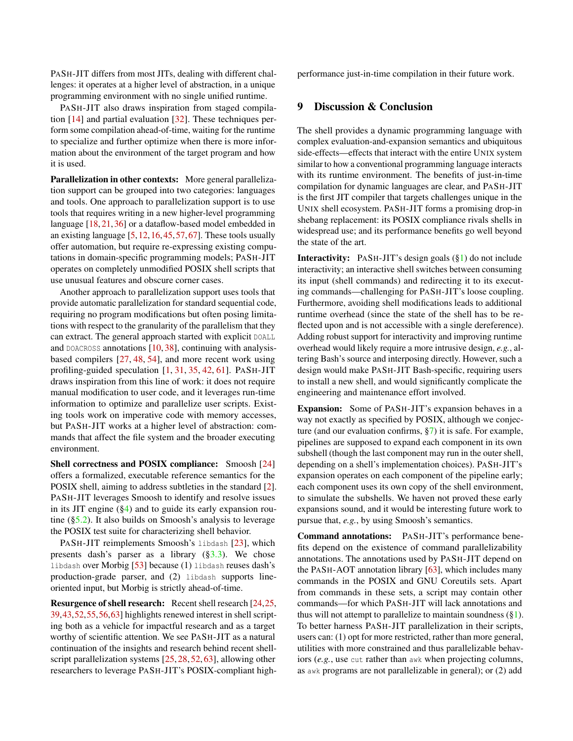PASH-JIT differs from most JITs, dealing with different challenges: it operates at a higher level of abstraction, in a unique programming environment with no single unified runtime.

PASH-JIT also draws inspiration from staged compilation [14] and partial evaluation [32]. These techniques perform some compilation ahead-of-time, waiting for the runtime to specialize and further optimize when there is more information about the environment of the target program and how it is used.

Parallelization in other contexts: More general parallelization support can be grouped into two categories: languages and tools. One approach to parallelization support is to use tools that requires writing in a new higher-level programming language [18, 21, 36] or a dataflow-based model embedded in an existing language [5,12,16,45,57,67]. These tools usually offer automation, but require re-expressing existing computations in domain-specific programming models; PASH-JIT operates on completely unmodified POSIX shell scripts that use unusual features and obscure corner cases.

Another approach to parallelization support uses tools that provide automatic parallelization for standard sequential code, requiring no program modifications but often posing limitations with respect to the granularity of the parallelism that they can extract. The general approach started with explicit DOALL and DOACROSS annotations  $[10, 38]$ , continuing with analysisbased compilers [27, 48, 54], and more recent work using profiling-guided speculation [1, 31, 35, 42, 61]. PASH-JIT draws inspiration from this line of work: it does not require manual modification to user code, and it leverages run-time information to optimize and parallelize user scripts. Existing tools work on imperative code with memory accesses, but PASH-JIT works at a higher level of abstraction: commands that affect the file system and the broader executing environment.

Shell correctness and POSIX compliance: Smoosh [24] offers a formalized, executable reference semantics for the POSIX shell, aiming to address subtleties in the standard [2]. PASH-JIT leverages Smoosh to identify and resolve issues in its JIT engine (§4) and to guide its early expansion routine (§5.2). It also builds on Smoosh's analysis to leverage the POSIX test suite for characterizing shell behavior.

PASH-JIT reimplements Smoosh's libdash [23], which presents dash's parser as a library  $(\S3.3)$ . We chose libdash over Morbig [53] because (1) libdash reuses dash's production-grade parser, and (2) libdash supports lineoriented input, but Morbig is strictly ahead-of-time.

Resurgence of shell research: Recent shell research [24,25, 39,43,52,55,56,63] highlights renewed interest in shell scripting both as a vehicle for impactful research and as a target worthy of scientific attention. We see PASH-JIT as a natural continuation of the insights and research behind recent shellscript parallelization systems [25, 28, 52, 63], allowing other researchers to leverage PASH-JIT's POSIX-compliant highperformance just-in-time compilation in their future work.

#### 9 Discussion & Conclusion

The shell provides a dynamic programming language with complex evaluation-and-expansion semantics and ubiquitous side-effects—effects that interact with the entire UNIX system similar to how a conventional programming language interacts with its runtime environment. The benefits of just-in-time compilation for dynamic languages are clear, and PASH-JIT is the first JIT compiler that targets challenges unique in the UNIX shell ecosystem. PASH-JIT forms a promising drop-in shebang replacement: its POSIX compliance rivals shells in widespread use; and its performance benefits go well beyond the state of the art.

Interactivity: PASH-JIT's design goals (§1) do not include interactivity; an interactive shell switches between consuming its input (shell commands) and redirecting it to its executing commands—challenging for PASH-JIT's loose coupling. Furthermore, avoiding shell modifications leads to additional runtime overhead (since the state of the shell has to be reflected upon and is not accessible with a single dereference). Adding robust support for interactivity and improving runtime overhead would likely require a more intrusive design, *e.g.*, altering Bash's source and interposing directly. However, such a design would make PASH-JIT Bash-specific, requiring users to install a new shell, and would significantly complicate the engineering and maintenance effort involved.

Expansion: Some of PASH-JIT's expansion behaves in a way not exactly as specified by POSIX, although we conjecture (and our evaluation confirms, §7) it is safe. For example, pipelines are supposed to expand each component in its own subshell (though the last component may run in the outer shell, depending on a shell's implementation choices). PASH-JIT's expansion operates on each component of the pipeline early; each component uses its own copy of the shell environment, to simulate the subshells. We haven not proved these early expansions sound, and it would be interesting future work to pursue that, *e.g.*, by using Smoosh's semantics.

Command annotations: PASH-JIT's performance benefits depend on the existence of command parallelizability annotations. The annotations used by PASH-JIT depend on the PASH-AOT annotation library [63], which includes many commands in the POSIX and GNU Coreutils sets. Apart from commands in these sets, a script may contain other commands—for which PASH-JIT will lack annotations and thus will not attempt to parallelize to maintain soundness  $(\S 1)$ . To better harness PASH-JIT parallelization in their scripts, users can: (1) opt for more restricted, rather than more general, utilities with more constrained and thus parallelizable behaviors (*e.g.*, use cut rather than awk when projecting columns, as awk programs are not parallelizable in general); or (2) add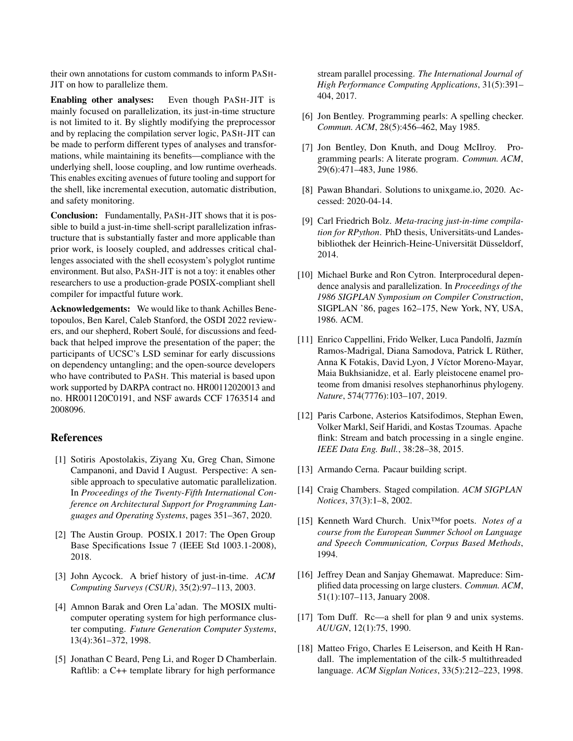their own annotations for custom commands to inform PASH-JIT on how to parallelize them.

Enabling other analyses: Even though PASH-JIT is mainly focused on parallelization, its just-in-time structure is not limited to it. By slightly modifying the preprocessor and by replacing the compilation server logic, PASH-JIT can be made to perform different types of analyses and transformations, while maintaining its benefits—compliance with the underlying shell, loose coupling, and low runtime overheads. This enables exciting avenues of future tooling and support for the shell, like incremental execution, automatic distribution, and safety monitoring.

Conclusion: Fundamentally, PASH-JIT shows that it is possible to build a just-in-time shell-script parallelization infrastructure that is substantially faster and more applicable than prior work, is loosely coupled, and addresses critical challenges associated with the shell ecosystem's polyglot runtime environment. But also, PASH-JIT is not a toy: it enables other researchers to use a production-grade POSIX-compliant shell compiler for impactful future work.

Acknowledgements: We would like to thank Achilles Benetopoulos, Ben Karel, Caleb Stanford, the OSDI 2022 reviewers, and our shepherd, Robert Soulé, for discussions and feedback that helped improve the presentation of the paper; the participants of UCSC's LSD seminar for early discussions on dependency untangling; and the open-source developers who have contributed to PASH. This material is based upon work supported by DARPA contract no. HR00112020013 and no. HR001120C0191, and NSF awards CCF 1763514 and 2008096.

# References

- [1] Sotiris Apostolakis, Ziyang Xu, Greg Chan, Simone Campanoni, and David I August. Perspective: A sensible approach to speculative automatic parallelization. In *Proceedings of the Twenty-Fifth International Conference on Architectural Support for Programming Languages and Operating Systems*, pages 351–367, 2020.
- [2] The Austin Group. POSIX.1 2017: The Open Group Base Specifications Issue 7 (IEEE Std 1003.1-2008), 2018.
- [3] John Aycock. A brief history of just-in-time. *ACM Computing Surveys (CSUR)*, 35(2):97–113, 2003.
- [4] Amnon Barak and Oren La'adan. The MOSIX multicomputer operating system for high performance cluster computing. *Future Generation Computer Systems*, 13(4):361–372, 1998.
- [5] Jonathan C Beard, Peng Li, and Roger D Chamberlain. Raftlib: a C++ template library for high performance

stream parallel processing. *The International Journal of High Performance Computing Applications*, 31(5):391– 404, 2017.

- [6] Jon Bentley. Programming pearls: A spelling checker. *Commun. ACM*, 28(5):456–462, May 1985.
- [7] Jon Bentley, Don Knuth, and Doug McIlroy. Programming pearls: A literate program. *Commun. ACM*, 29(6):471–483, June 1986.
- [8] Pawan Bhandari. Solutions to unixgame.io, 2020. Accessed: 2020-04-14.
- [9] Carl Friedrich Bolz. *Meta-tracing just-in-time compilation for RPython*. PhD thesis, Universitäts-und Landesbibliothek der Heinrich-Heine-Universität Düsseldorf, 2014.
- [10] Michael Burke and Ron Cytron. Interprocedural dependence analysis and parallelization. In *Proceedings of the 1986 SIGPLAN Symposium on Compiler Construction*, SIGPLAN '86, pages 162–175, New York, NY, USA, 1986. ACM.
- [11] Enrico Cappellini, Frido Welker, Luca Pandolfi, Jazmín Ramos-Madrigal, Diana Samodova, Patrick L Rüther, Anna K Fotakis, David Lyon, J Víctor Moreno-Mayar, Maia Bukhsianidze, et al. Early pleistocene enamel proteome from dmanisi resolves stephanorhinus phylogeny. *Nature*, 574(7776):103–107, 2019.
- [12] Paris Carbone, Asterios Katsifodimos, Stephan Ewen, Volker Markl, Seif Haridi, and Kostas Tzoumas. Apache flink: Stream and batch processing in a single engine. *IEEE Data Eng. Bull.*, 38:28–38, 2015.
- [13] Armando Cerna. Pacaur building script.
- [14] Craig Chambers. Staged compilation. *ACM SIGPLAN Notices*, 37(3):1–8, 2002.
- [15] Kenneth Ward Church. Unix™for poets. *Notes of a course from the European Summer School on Language and Speech Communication, Corpus Based Methods*, 1994.
- [16] Jeffrey Dean and Sanjay Ghemawat. Mapreduce: Simplified data processing on large clusters. *Commun. ACM*, 51(1):107–113, January 2008.
- [17] Tom Duff. Rc—a shell for plan 9 and unix systems. *AUUGN*, 12(1):75, 1990.
- [18] Matteo Frigo, Charles E Leiserson, and Keith H Randall. The implementation of the cilk-5 multithreaded language. *ACM Sigplan Notices*, 33(5):212–223, 1998.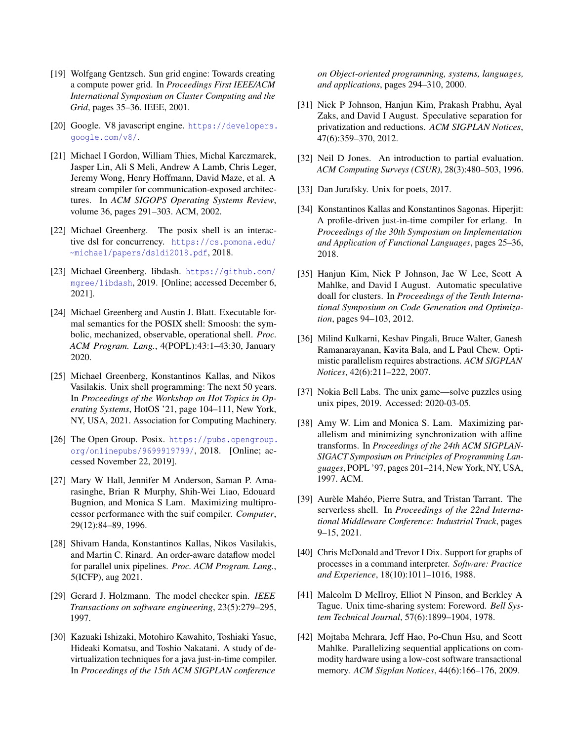- [19] Wolfgang Gentzsch. Sun grid engine: Towards creating a compute power grid. In *Proceedings First IEEE/ACM International Symposium on Cluster Computing and the Grid*, pages 35–36. IEEE, 2001.
- [20] Google. V8 javascript engine. https://developers. google.com/v8/.
- [21] Michael I Gordon, William Thies, Michal Karczmarek, Jasper Lin, Ali S Meli, Andrew A Lamb, Chris Leger, Jeremy Wong, Henry Hoffmann, David Maze, et al. A stream compiler for communication-exposed architectures. In *ACM SIGOPS Operating Systems Review*, volume 36, pages 291–303. ACM, 2002.
- [22] Michael Greenberg. The posix shell is an interactive dsl for concurrency. https://cs.pomona.edu/ ~michael/papers/dsldi2018.pdf, 2018.
- [23] Michael Greenberg. libdash. https://github.com/ mgree/libdash, 2019. [Online; accessed December 6, 2021].
- [24] Michael Greenberg and Austin J. Blatt. Executable formal semantics for the POSIX shell: Smoosh: the symbolic, mechanized, observable, operational shell. *Proc. ACM Program. Lang.*, 4(POPL):43:1–43:30, January 2020.
- [25] Michael Greenberg, Konstantinos Kallas, and Nikos Vasilakis. Unix shell programming: The next 50 years. In *Proceedings of the Workshop on Hot Topics in Operating Systems*, HotOS '21, page 104–111, New York, NY, USA, 2021. Association for Computing Machinery.
- [26] The Open Group. Posix. https://pubs.opengroup. org/onlinepubs/9699919799/, 2018. [Online; accessed November 22, 2019].
- [27] Mary W Hall, Jennifer M Anderson, Saman P. Amarasinghe, Brian R Murphy, Shih-Wei Liao, Edouard Bugnion, and Monica S Lam. Maximizing multiprocessor performance with the suif compiler. *Computer*, 29(12):84–89, 1996.
- [28] Shivam Handa, Konstantinos Kallas, Nikos Vasilakis, and Martin C. Rinard. An order-aware dataflow model for parallel unix pipelines. *Proc. ACM Program. Lang.*, 5(ICFP), aug 2021.
- [29] Gerard J. Holzmann. The model checker spin. *IEEE Transactions on software engineering*, 23(5):279–295, 1997.
- [30] Kazuaki Ishizaki, Motohiro Kawahito, Toshiaki Yasue, Hideaki Komatsu, and Toshio Nakatani. A study of devirtualization techniques for a java just-in-time compiler. In *Proceedings of the 15th ACM SIGPLAN conference*

*on Object-oriented programming, systems, languages, and applications*, pages 294–310, 2000.

- [31] Nick P Johnson, Hanjun Kim, Prakash Prabhu, Ayal Zaks, and David I August. Speculative separation for privatization and reductions. *ACM SIGPLAN Notices*, 47(6):359–370, 2012.
- [32] Neil D Jones. An introduction to partial evaluation. *ACM Computing Surveys (CSUR)*, 28(3):480–503, 1996.
- [33] Dan Jurafsky. Unix for poets, 2017.
- [34] Konstantinos Kallas and Konstantinos Sagonas. Hiperjit: A profile-driven just-in-time compiler for erlang. In *Proceedings of the 30th Symposium on Implementation and Application of Functional Languages*, pages 25–36, 2018.
- [35] Hanjun Kim, Nick P Johnson, Jae W Lee, Scott A Mahlke, and David I August. Automatic speculative doall for clusters. In *Proceedings of the Tenth International Symposium on Code Generation and Optimization*, pages 94–103, 2012.
- [36] Milind Kulkarni, Keshav Pingali, Bruce Walter, Ganesh Ramanarayanan, Kavita Bala, and L Paul Chew. Optimistic parallelism requires abstractions. *ACM SIGPLAN Notices*, 42(6):211–222, 2007.
- [37] Nokia Bell Labs. The unix game—solve puzzles using unix pipes, 2019. Accessed: 2020-03-05.
- [38] Amy W. Lim and Monica S. Lam. Maximizing parallelism and minimizing synchronization with affine transforms. In *Proceedings of the 24th ACM SIGPLAN-SIGACT Symposium on Principles of Programming Languages*, POPL '97, pages 201–214, New York, NY, USA, 1997. ACM.
- [39] Aurèle Mahéo, Pierre Sutra, and Tristan Tarrant. The serverless shell. In *Proceedings of the 22nd International Middleware Conference: Industrial Track*, pages 9–15, 2021.
- [40] Chris McDonald and Trevor I Dix. Support for graphs of processes in a command interpreter. *Software: Practice and Experience*, 18(10):1011–1016, 1988.
- [41] Malcolm D McIlroy, Elliot N Pinson, and Berkley A Tague. Unix time-sharing system: Foreword. *Bell System Technical Journal*, 57(6):1899–1904, 1978.
- [42] Mojtaba Mehrara, Jeff Hao, Po-Chun Hsu, and Scott Mahlke. Parallelizing sequential applications on commodity hardware using a low-cost software transactional memory. *ACM Sigplan Notices*, 44(6):166–176, 2009.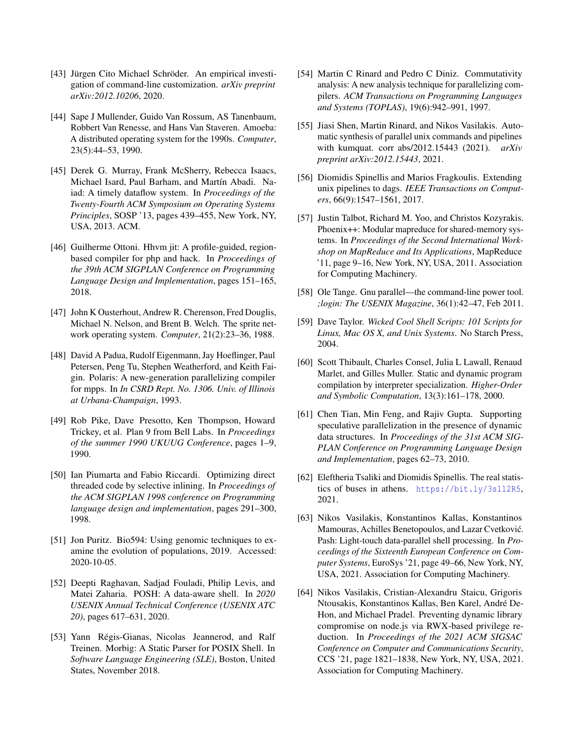- [43] Jürgen Cito Michael Schröder. An empirical investigation of command-line customization. *arXiv preprint arXiv:2012.10206*, 2020.
- [44] Sape J Mullender, Guido Van Rossum, AS Tanenbaum, Robbert Van Renesse, and Hans Van Staveren. Amoeba: A distributed operating system for the 1990s. *Computer*, 23(5):44–53, 1990.
- [45] Derek G. Murray, Frank McSherry, Rebecca Isaacs, Michael Isard, Paul Barham, and Martín Abadi. Naiad: A timely dataflow system. In *Proceedings of the Twenty-Fourth ACM Symposium on Operating Systems Principles*, SOSP '13, pages 439–455, New York, NY, USA, 2013. ACM.
- [46] Guilherme Ottoni. Hhvm jit: A profile-guided, regionbased compiler for php and hack. In *Proceedings of the 39th ACM SIGPLAN Conference on Programming Language Design and Implementation*, pages 151–165, 2018.
- [47] John K Ousterhout, Andrew R. Cherenson, Fred Douglis, Michael N. Nelson, and Brent B. Welch. The sprite network operating system. *Computer*, 21(2):23–36, 1988.
- [48] David A Padua, Rudolf Eigenmann, Jay Hoeflinger, Paul Petersen, Peng Tu, Stephen Weatherford, and Keith Faigin. Polaris: A new-generation parallelizing compiler for mpps. In *In CSRD Rept. No. 1306. Univ. of Illinois at Urbana-Champaign*, 1993.
- [49] Rob Pike, Dave Presotto, Ken Thompson, Howard Trickey, et al. Plan 9 from Bell Labs. In *Proceedings of the summer 1990 UKUUG Conference*, pages 1–9, 1990.
- [50] Ian Piumarta and Fabio Riccardi. Optimizing direct threaded code by selective inlining. In *Proceedings of the ACM SIGPLAN 1998 conference on Programming language design and implementation*, pages 291–300, 1998.
- [51] Jon Puritz. Bio594: Using genomic techniques to examine the evolution of populations, 2019. Accessed: 2020-10-05.
- [52] Deepti Raghavan, Sadjad Fouladi, Philip Levis, and Matei Zaharia. POSH: A data-aware shell. In *2020 USENIX Annual Technical Conference (USENIX ATC 20)*, pages 617–631, 2020.
- [53] Yann Régis-Gianas, Nicolas Jeannerod, and Ralf Treinen. Morbig: A Static Parser for POSIX Shell. In *Software Language Engineering (SLE)*, Boston, United States, November 2018.
- [54] Martin C Rinard and Pedro C Diniz. Commutativity analysis: A new analysis technique for parallelizing compilers. *ACM Transactions on Programming Languages and Systems (TOPLAS)*, 19(6):942–991, 1997.
- [55] Jiasi Shen, Martin Rinard, and Nikos Vasilakis. Automatic synthesis of parallel unix commands and pipelines with kumquat. corr abs/2012.15443 (2021). *arXiv preprint arXiv:2012.15443*, 2021.
- [56] Diomidis Spinellis and Marios Fragkoulis. Extending unix pipelines to dags. *IEEE Transactions on Computers*, 66(9):1547–1561, 2017.
- [57] Justin Talbot, Richard M. Yoo, and Christos Kozyrakis. Phoenix++: Modular mapreduce for shared-memory systems. In *Proceedings of the Second International Workshop on MapReduce and Its Applications*, MapReduce '11, page 9–16, New York, NY, USA, 2011. Association for Computing Machinery.
- [58] Ole Tange. Gnu parallel—the command-line power tool. *;login: The USENIX Magazine*, 36(1):42–47, Feb 2011.
- [59] Dave Taylor. *Wicked Cool Shell Scripts: 101 Scripts for Linux, Mac OS X, and Unix Systems*. No Starch Press, 2004.
- [60] Scott Thibault, Charles Consel, Julia L Lawall, Renaud Marlet, and Gilles Muller. Static and dynamic program compilation by interpreter specialization. *Higher-Order and Symbolic Computation*, 13(3):161–178, 2000.
- [61] Chen Tian, Min Feng, and Rajiv Gupta. Supporting speculative parallelization in the presence of dynamic data structures. In *Proceedings of the 31st ACM SIG-PLAN Conference on Programming Language Design and Implementation*, pages 62–73, 2010.
- [62] Eleftheria Tsaliki and Diomidis Spinellis. The real statistics of buses in athens. https://bit.ly/3s112R5, 2021.
- [63] Nikos Vasilakis, Konstantinos Kallas, Konstantinos Mamouras, Achilles Benetopoulos, and Lazar Cvetković. Pash: Light-touch data-parallel shell processing. In *Proceedings of the Sixteenth European Conference on Computer Systems*, EuroSys '21, page 49–66, New York, NY, USA, 2021. Association for Computing Machinery.
- [64] Nikos Vasilakis, Cristian-Alexandru Staicu, Grigoris Ntousakis, Konstantinos Kallas, Ben Karel, André De-Hon, and Michael Pradel. Preventing dynamic library compromise on node.js via RWX-based privilege reduction. In *Proceedings of the 2021 ACM SIGSAC Conference on Computer and Communications Security*, CCS '21, page 1821–1838, New York, NY, USA, 2021. Association for Computing Machinery.